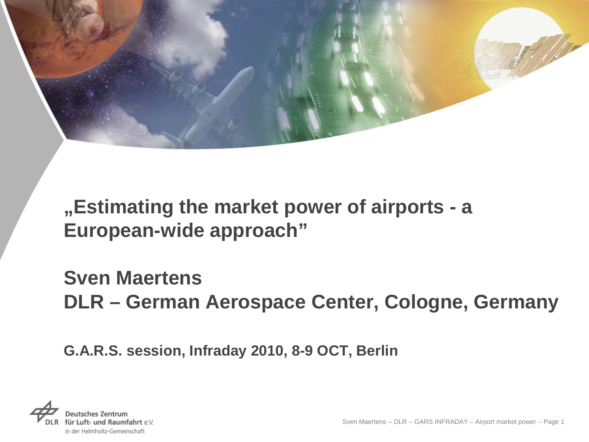

**"Estimating the market power of airports - a European-wide approach"** 

**Sven Maertens DLR – German Aerospace Center, Cologne, Germany**

**G.A.R.S. session, Infraday 2010, 8-9 OCT, Berlin**

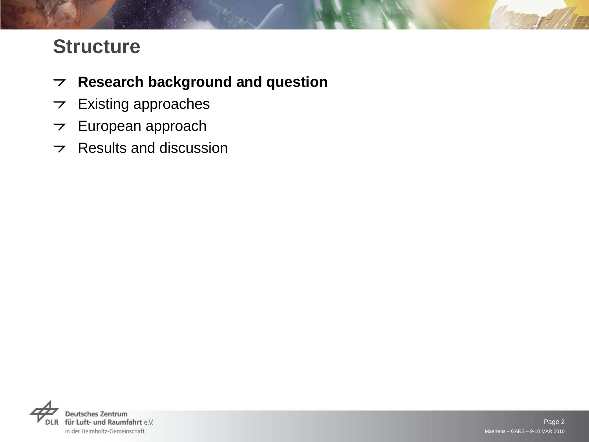# **Structure**

- **Research background and question**
- $\triangleright$  Existing approaches
- $\triangleright$  European approach
- $\triangleright$  Results and discussion

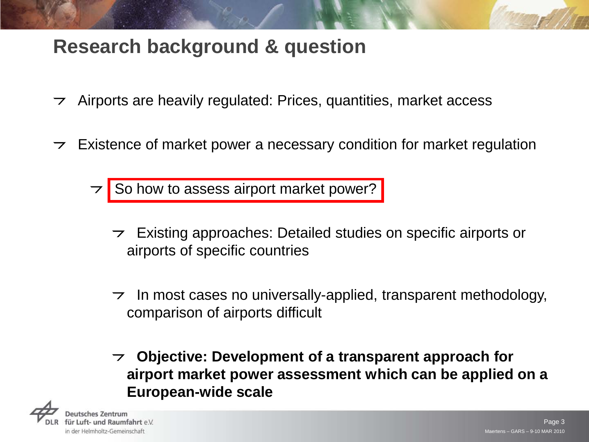# **Research background & question**

- $\rightarrow$  Airports are heavily regulated: Prices, quantities, market access
- $\triangleright$  Existence of market power a necessary condition for market regulation

So how to assess airport market power?

- Existing approaches: Detailed studies on specific airports or airports of specific countries
- $\tau$  In most cases no universally-applied, transparent methodology, comparison of airports difficult
- **Objective: Development of a transparent approach for**   $\overline{z}$ **airport market power assessment which can be applied on a European-wide scale**

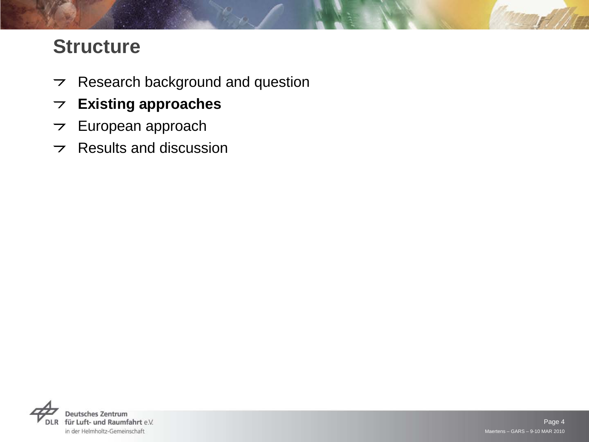# **Structure**

- $\triangleright$  Research background and question
- **Existing approaches**
- $\triangleright$  European approach
- $\triangleright$  Results and discussion

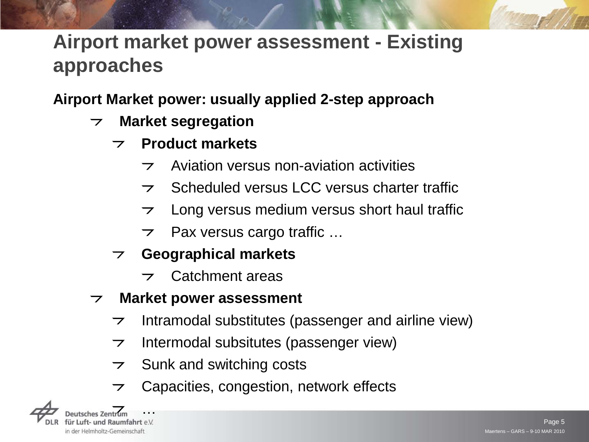# **Airport market power assessment - Existing approaches**

#### **Airport Market power: usually applied 2-step approach**

- **Market segregation**  $\overline{z}$ 
	- **Product markets**  $\overline{\phantom{0}}$ 
		- Aviation versus non-aviation activities  $\overline{\phantom{0}}$
		- Scheduled versus LCC versus charter traffic  $\overline{\phantom{0}}$
		- Long versus medium versus short haul traffic  $\overline{z}$
		- $\triangleright$  Pax versus cargo traffic ...
	- **Geographical markets**
		- Catchment areas  $\overline{\phantom{0}}$
- **Market power assessment**  $\overline{z}$ 
	- Intramodal substitutes (passenger and airline view)  $\overline{\phantom{a}}$
	- Intermodal subsitutes (passenger view)  $\overline{\phantom{a}}$
	- Sunk and switching costs  $\overline{\phantom{a}}$
	- Capacities, congestion, network effects  $\overline{\phantom{a}}$

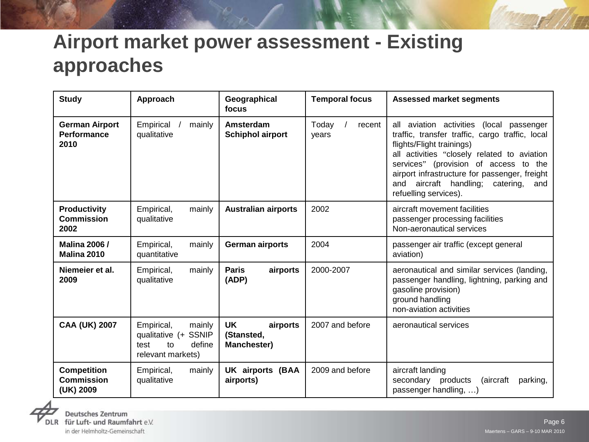# **Airport market power assessment - Existing approaches**

| <b>Study</b>                                         | Approach                                                                                  | Geographical<br>focus                              | <b>Temporal focus</b>    | <b>Assessed market segments</b>                                                                                                                                                                                                                                                                                                             |  |
|------------------------------------------------------|-------------------------------------------------------------------------------------------|----------------------------------------------------|--------------------------|---------------------------------------------------------------------------------------------------------------------------------------------------------------------------------------------------------------------------------------------------------------------------------------------------------------------------------------------|--|
| <b>German Airport</b><br><b>Performance</b><br>2010  | Empirical<br>mainly<br>qualitative                                                        | Amsterdam<br><b>Schiphol airport</b>               | Today<br>recent<br>years | all aviation activities (local passenger<br>traffic, transfer traffic, cargo traffic, local<br>flights/Flight trainings)<br>all activities "closely related to aviation<br>services" (provision of access to the<br>airport infrastructure for passenger, freight<br>aircraft handling;<br>and<br>catering,<br>and<br>refuelling services). |  |
| <b>Productivity</b><br><b>Commission</b><br>2002     | Empirical,<br>mainly<br>qualitative                                                       | <b>Australian airports</b>                         | 2002                     | aircraft movement facilities<br>passenger processing facilities<br>Non-aeronautical services                                                                                                                                                                                                                                                |  |
| <b>Malina 2006 /</b><br>Malina 2010                  | Empirical,<br>mainly<br>quantitative                                                      | <b>German airports</b>                             | 2004                     | passenger air traffic (except general<br>aviation)                                                                                                                                                                                                                                                                                          |  |
| Niemeier et al.<br>2009                              | Empirical,<br>mainly<br>qualitative                                                       | airports<br><b>Paris</b><br>(ADP)                  | 2000-2007                | aeronautical and similar services (landing,<br>passenger handling, lightning, parking and<br>gasoline provision)<br>ground handling<br>non-aviation activities                                                                                                                                                                              |  |
| <b>CAA (UK) 2007</b>                                 | Empirical,<br>mainly<br>qualitative (+ SSNIP<br>define<br>test<br>to<br>relevant markets) | <b>UK</b><br>airports<br>(Stansted,<br>Manchester) | 2007 and before          | aeronautical services                                                                                                                                                                                                                                                                                                                       |  |
| <b>Competition</b><br><b>Commission</b><br>(UK) 2009 | Empirical,<br>mainly<br>qualitative                                                       | <b>UK airports (BAA</b><br>airports)               | 2009 and before          | aircraft landing<br>(aircraft<br>secondary products<br>parking,<br>passenger handling, )                                                                                                                                                                                                                                                    |  |

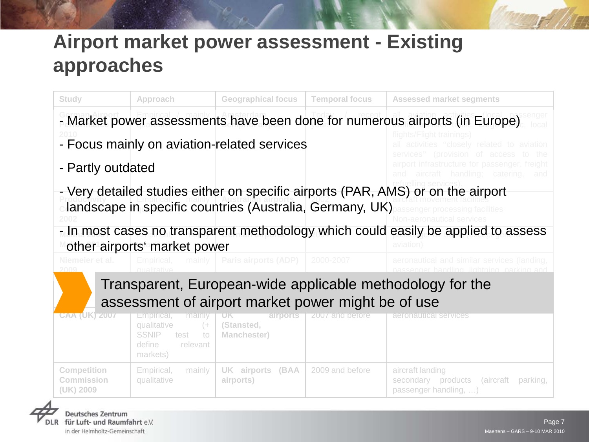# **Airport market power assessment - Existing approaches**

| Study                                                                                                           | Approach                                                                                                     | <b>Geographical focus</b>                                | <b>Temporal focus</b> | <b>Assessed market segments</b>                                                                                                     |  |  |  |  |  |
|-----------------------------------------------------------------------------------------------------------------|--------------------------------------------------------------------------------------------------------------|----------------------------------------------------------|-----------------------|-------------------------------------------------------------------------------------------------------------------------------------|--|--|--|--|--|
|                                                                                                                 |                                                                                                              |                                                          |                       | - Market power assessments have been done for numerous airports (in Europe)                                                         |  |  |  |  |  |
|                                                                                                                 |                                                                                                              | - Focus mainly on aviation-related services              |                       | flights/Flight trainings)<br>all activities "closely related to aviation                                                            |  |  |  |  |  |
| - Partly outdated                                                                                               |                                                                                                              |                                                          |                       | services" (provision of access<br>– the<br>airport infrastructure for passenger, freight<br>and aircraft handling; catering,<br>and |  |  |  |  |  |
|                                                                                                                 |                                                                                                              | landscape in specific countries (Australia, Germany, UK) |                       | - Very detailed studies either on specific airports (PAR, AMS) or on the airport<br>senger processing facilities                    |  |  |  |  |  |
|                                                                                                                 | other airports' market power                                                                                 |                                                          |                       | - In most cases no transparent methodology which could easily be applied to assess<br>aviation                                      |  |  |  |  |  |
| Niemeier et al.                                                                                                 | mainly<br>Empirical,                                                                                         | Paris airports (ADP)                                     | 2000-2007             | aeronautical and similar services (landing,<br>handling lightning nark                                                              |  |  |  |  |  |
| Transparent, European-wide applicable methodology for the<br>assessment of airport market power might be of use |                                                                                                              |                                                          |                       |                                                                                                                                     |  |  |  |  |  |
| <b>CAA (UK) 2007</b>                                                                                            | Empirical,<br>mainly<br>qualitative<br>$($ +<br><b>SSNIP</b><br>test<br>to<br>define<br>relevant<br>markets) | airports<br>(Stansted,<br><b>Manchester)</b>             | 2007 and before       | aeronautical services                                                                                                               |  |  |  |  |  |
| <b>Competition</b><br>Commission<br>(UK) 2009                                                                   | mainly<br>Empirical,<br>qualitative                                                                          | <b>UK airports (BAA</b><br>airports)                     | 2009 and before       | aircraft landing<br>secondary products<br>(aircraft<br>parking,<br>passenger handling, )                                            |  |  |  |  |  |

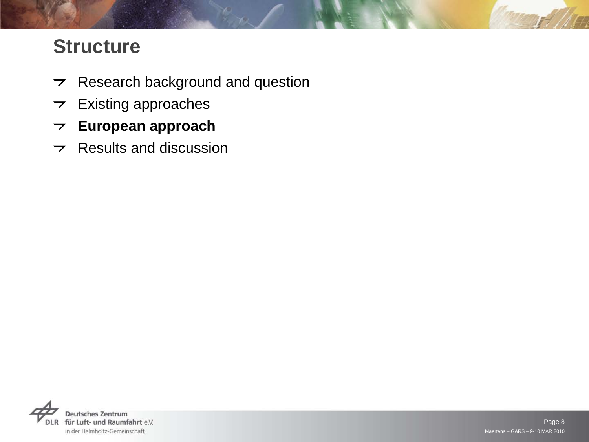# **Structure**

- $\triangleright$  Research background and question
- $\triangleright$  Existing approaches
- **European approach**
- $\triangleright$  Results and discussion

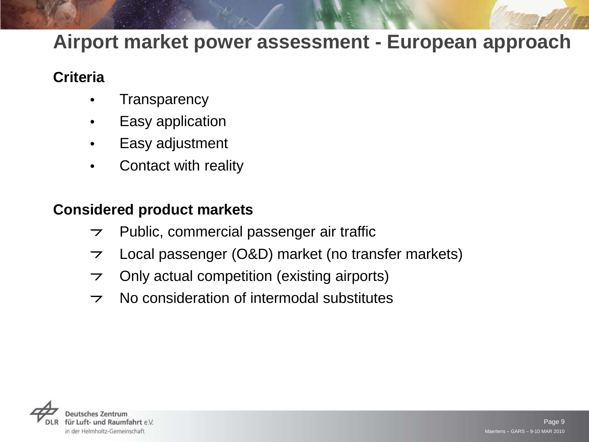#### **Criteria**

- **Transparency**
- Easy application
- Easy adjustment
- Contact with reality

#### **Considered product markets**

- Public, commercial passenger air traffic  $\overline{z}$
- Local passenger (O&D) market (no transfer markets)  $\overline{\phantom{0}}$
- Only actual competition (existing airports)  $\overline{\phantom{0}}$
- No consideration of intermodal substitutes $\overline{\phantom{0}}$

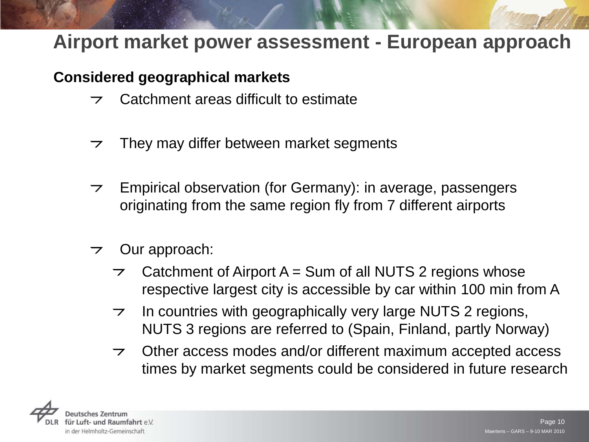#### **Considered geographical markets**

- Catchment areas difficult to estimate  $\overline{\phantom{a}}$
- They may differ between market segments  $\overline{\phantom{a}}$
- Empirical observation (for Germany): in average, passengers  $\overline{\phantom{a}}$ originating from the same region fly from 7 different airports
- Our approach:  $\overline{\phantom{a}}$ 
	- Catchment of Airport  $A = Sum$  of all NUTS 2 regions whose respective largest city is accessible by car within 100 min from A
	- In countries with geographically very large NUTS 2 regions,  $\overline{\phantom{a}}$ NUTS 3 regions are referred to (Spain, Finland, partly Norway)
	- Other access modes and/or different maximum accepted access  $\overline{\phantom{0}}$ times by market segments could be considered in future research

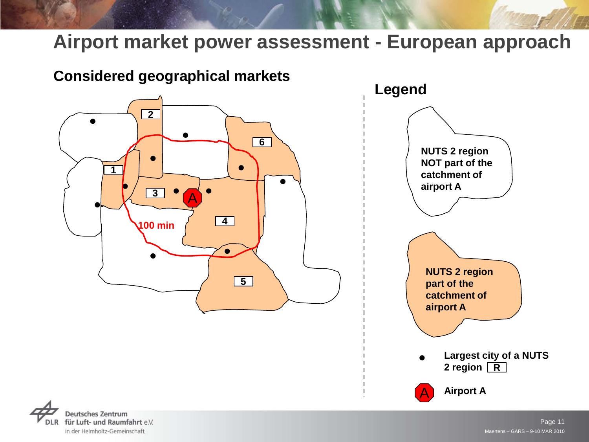

in der Helmholtz-Gemeinschaft

Maertens – GARS – 9-10 MAR 2010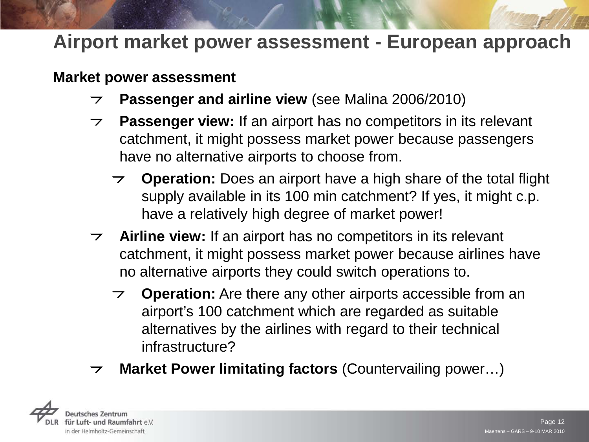#### **Market power assessment**

- **Passenger and airline view** (see Malina 2006/2010)  $\overline{z}$
- **Passenger view:** If an airport has no competitors in its relevant  $\overline{z}$ catchment, it might possess market power because passengers have no alternative airports to choose from.
	- **Operation:** Does an airport have a high share of the total flight supply available in its 100 min catchment? If yes, it might c.p. have a relatively high degree of market power!
- **Airline view:** If an airport has no competitors in its relevant  $\overline{z}$ catchment, it might possess market power because airlines have no alternative airports they could switch operations to.
	- **Operation:** Are there any other airports accessible from an airport's 100 catchment which are regarded as suitable alternatives by the airlines with regard to their technical infrastructure?
- **Market Power limitating factors** (Countervailing power…) $\overline{\phantom{0}}$

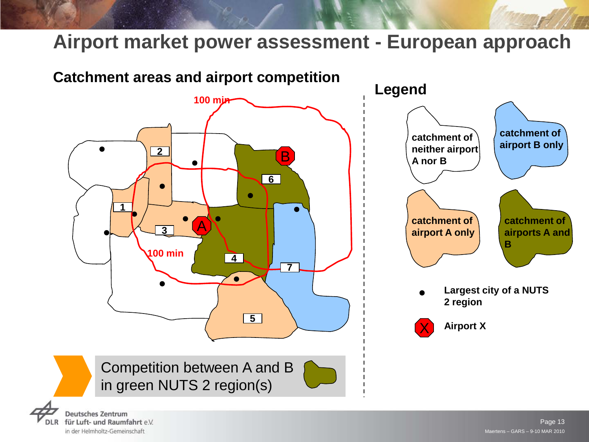

für Luft- und Raumfahrt e.V. in der Helmholtz-Gemeinschaft

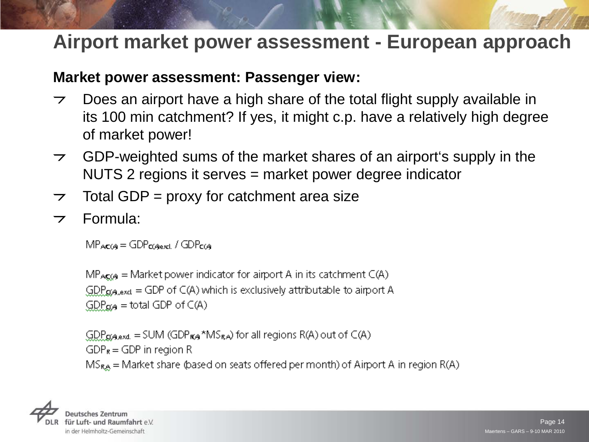#### **Market power assessment: Passenger view:**

- Does an airport have a high share of the total flight supply available in  $\overline{\phantom{a}}$ its 100 min catchment? If yes, it might c.p. have a relatively high degree of market power!
- GDP-weighted sums of the market shares of an airport's supply in the  $\overline{\phantom{a}}$ NUTS 2 regions it serves = market power degree indicator
- Total GDP = proxy for catchment area size  $\overline{\phantom{0}}$
- Formula: $\overline{\phantom{0}}$

 $MP_{AC}(A) = GDP_{C(A)ex1} / GDP_{C(A)}$ 

 $MP_{ACG4}$  = Market power indicator for airport A in its catchment  $C(A)$  $GDP_{\alpha,\text{exact}} = GDP$  of  $C(A)$  which is exclusively attributable to airport A  $GDP_{\alpha A}$  = total GDP of C(A)

 $GDP_{\alpha\beta,ext}$  = SUM (GDP $_{\alpha\beta}$ <sup>\*</sup>MS<sub>RA</sub>) for all regions R(A) out of C(A)  $GDP_R = GDP$  in region R  $MS_{RA}$  = Market share (based on seats offered per month) of Airport A in region R(A)

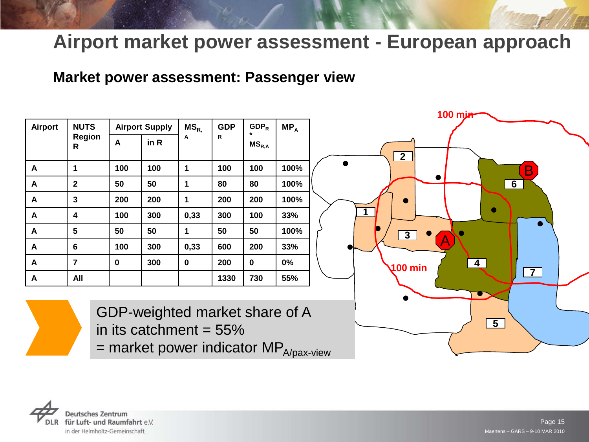#### **Market power assessment: Passenger view**

| <b>Airport</b> | <b>NUTS</b>        | <b>Airport Supply</b> |      | $MS_{R.}$ | <b>GDP</b> | $GDP_R$<br>*                          | $MP_A$ |  |
|----------------|--------------------|-----------------------|------|-----------|------------|---------------------------------------|--------|--|
|                | <b>Region</b><br>R | A                     | in R | A         | R          | $\mathsf{MS}_{\mathsf{R},\mathsf{A}}$ |        |  |
| A              | 1                  | 100                   | 100  | 1         | 100        | 100                                   | 100%   |  |
| A              | $\mathbf{2}$       | 50                    | 50   | 1         | 80         | 80                                    | 100%   |  |
| A              | 3                  | 200                   | 200  | 1         | 200        | 200                                   | 100%   |  |
| A              | 4                  | 100                   | 300  | 0,33      | 300        | 100                                   | 33%    |  |
| A              | 5                  | 50                    | 50   | 1         | 50         | 50                                    | 100%   |  |
| A              | 6                  | 100                   | 300  | 0,33      | 600        | 200                                   | 33%    |  |
| A              | 7                  | 0                     | 300  | 0         | 200        | 0                                     | 0%     |  |
| A              | All                |                       |      |           | 1330       | 730                                   | 55%    |  |





GDP-weighted market share of A in its catchment  $= 55\%$ 

 $=$  market power indicator MP $_{A/pax\text{-}view}$ 

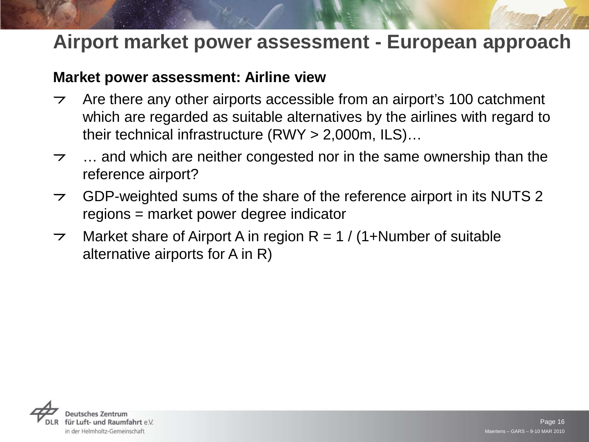#### **Market power assessment: Airline view**

- Are there any other airports accessible from an airport's 100 catchment  $\overline{\phantom{a}}$ which are regarded as suitable alternatives by the airlines with regard to their technical infrastructure (RWY > 2,000m, ILS)…
- … and which are neither congested nor in the same ownership than the  $\overline{\phantom{a}}$ reference airport?
- GDP-weighted sums of the share of the reference airport in its NUTS 2  $\overline{z}$ regions = market power degree indicator
- Market share of Airport A in region  $R = 1 / (1 + N$ umber of suitable  $\overline{\phantom{a}}$ alternative airports for A in R)

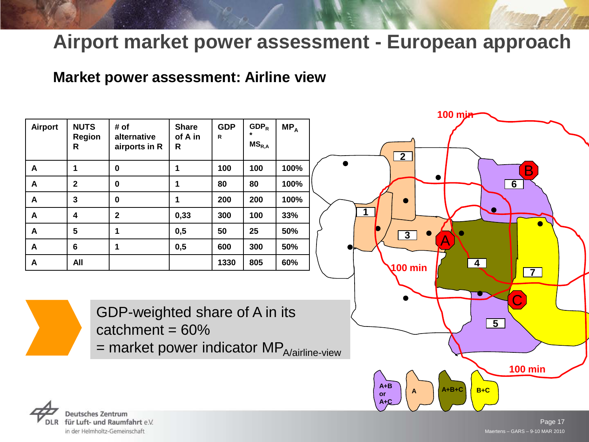#### **Market power assessment: Airline view**

|                  |                                   |                                                                                                                  |                                         |                 |                       |        | <b>100 mjn-</b>                                                     |
|------------------|-----------------------------------|------------------------------------------------------------------------------------------------------------------|-----------------------------------------|-----------------|-----------------------|--------|---------------------------------------------------------------------|
| Airport          | <b>NUTS</b><br><b>Region</b><br>R | # of<br>alternative<br>airports in R                                                                             | <b>Share</b><br>of A in<br>$\mathsf{R}$ | <b>GDP</b><br>R | $GDP_R$<br>$MS_{R,A}$ | $MP_A$ | $\overline{2}$                                                      |
| $\mathbf{A}$     | $\mathbf{1}$                      | $\mathbf 0$                                                                                                      | $\mathbf{1}$                            | 100             | 100                   | 100%   | Β                                                                   |
| A                | $\overline{2}$                    | $\mathbf 0$                                                                                                      | $\mathbf{1}$                            | 80              | 80                    | 100%   | 6                                                                   |
| A                | $\mathbf{3}$                      | $\mathbf 0$                                                                                                      | $\blacktriangleleft$                    | 200             | 200                   | 100%   |                                                                     |
| A                | $\overline{\mathbf{4}}$           | $\overline{\mathbf{2}}$                                                                                          | 0,33                                    | 300             | 100                   | 33%    |                                                                     |
| A                | $5\phantom{1}$                    | 1                                                                                                                | 0,5                                     | 50              | 25                    | 50%    | $\overline{3}$                                                      |
| $\mathsf{A}$     | $6\phantom{1}$                    | 1                                                                                                                | 0,5                                     | 600             | 300                   | 50%    |                                                                     |
| $\boldsymbol{A}$ | All                               |                                                                                                                  |                                         | 1330            | 805                   | 60%    | $\overline{\mathbf{4}}$<br>$100 \text{ min}$                        |
|                  |                                   |                                                                                                                  |                                         |                 |                       |        | $\overline{7}$                                                      |
|                  |                                   | GDP-weighted share of A in its<br>catchment = $60\%$<br>$=$ market power indicator MP $_{\text{A/airline-view}}$ |                                         |                 |                       |        | $\overline{5}$                                                      |
|                  |                                   |                                                                                                                  |                                         |                 |                       |        | <b>100 min</b><br>$A + B$<br>$A+B+C$<br>$B+C$<br>A<br>or<br>$A + C$ |



Maertens – GARS – 9-10 MAR 2010 Page 17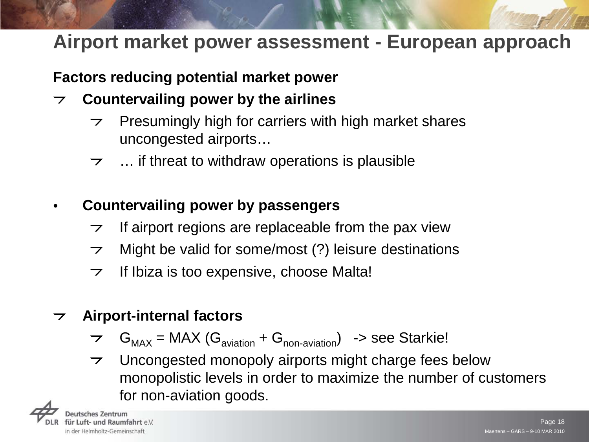#### **Factors reducing potential market power**

- **Countervailing power by the airlines**  $\overline{\phantom{a}}$ 
	- Presumingly high for carriers with high market shares  $\overline{z}$ uncongested airports…
	- … if threat to withdraw operations is plausible  $\overline{\phantom{a}}$
- **Countervailing power by passengers**
	- If airport regions are replaceable from the pax view  $\overline{\phantom{0}}$
	- Might be valid for some/most (?) leisure destinations  $\overline{z}$
	- If Ibiza is too expensive, choose Malta!  $\overline{\phantom{0}}$

#### **Airport-internal factors**  $\overline{z}$

- $\tau$  G<sub>MAX</sub> = MAX (G<sub>aviation</sub> + G<sub>non-aviation</sub>) -> see Starkie!
- Uncongested monopoly airports might charge fees below  $\overline{z}$ monopolistic levels in order to maximize the number of customers for non-aviation goods.

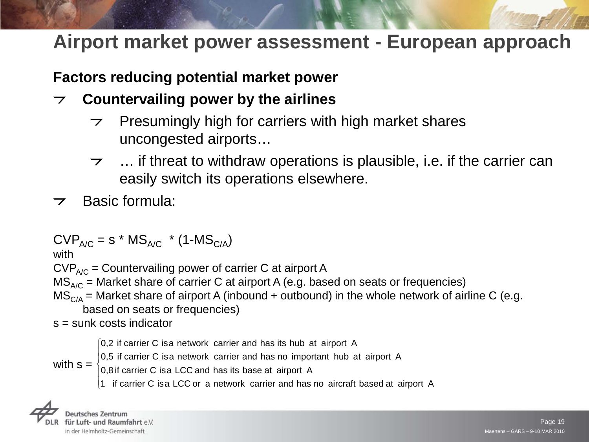#### **Factors reducing potential market power**

- **Countervailing power by the airlines**  $\overline{\phantom{a}}$ 
	- Presumingly high for carriers with high market shares  $\overline{z}$ uncongested airports…
	- … if threat to withdraw operations is plausible, i.e. if the carrier can  $\overline{z}$ easily switch its operations elsewhere.
- Basic formula:

 $CVP_{A/C} = s * MS_{A/C} * (1 - MS_{C/A})$ 

with

 $CVP_{A/C}$  = Countervailing power of carrier C at airport A

 $MS<sub>A/C</sub>$  = Market share of carrier C at airport A (e.g. based on seats or frequencies)

 $MS<sub>C/A</sub>$  = Market share of airport A (inbound + outbound) in the whole network of airline C (e.g. based on seats or frequencies)

s = sunk costs indicator

0,2 if carrier C isa network carrier and has its hub at airport A

0,5 if carrier C isa network carrier and has no important hub at airport A

with  $s =$  $\left| \right|$  $\big\}$ 0,8 if carrier C isa LCC and has its base at airport A

 $\vert$ 1 if carrier C isa LCC or a network carrier and has no aircraft based at airport A

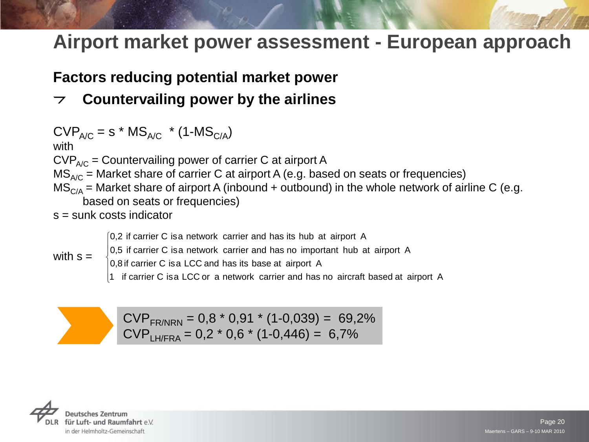#### **Factors reducing potential market power**

#### **Countervailing power by the airlines**

 $CVP_{A/C}$  = s \* MS<sub>A/C</sub> \* (1-MS<sub>C/A</sub>) with  $CVP_{A/C}$  = Countervailing power of carrier C at airport A  $MS<sub>A/C</sub>$  = Market share of carrier C at airport A (e.g. based on seats or frequencies)  $MS<sub>C/A</sub>$  = Market share of airport A (inbound + outbound) in the whole network of airline C (e.g. based on seats or frequencies)

s = sunk costs indicator

0,2 if carrier C isa network carrier and has its hub at airport A

- 0,5 if carrier C isa network carrier and has no important hub at airport A
- with  $s =$

 $\left| \right|$  $\big\}$ 0,8 if carrier C isa LCC and has its base at airport A

 $\vert$ 1 if carrier C isa LCC or a network carrier and has no aircraft based at airport A

 $CVP_{FR/NRN} = 0.8 * 0.91 * (1-0.039) = 69.2%$  $CVP_{H/FRA} = 0.2 * 0.6 * (1-0.446) = 6.7%$ 

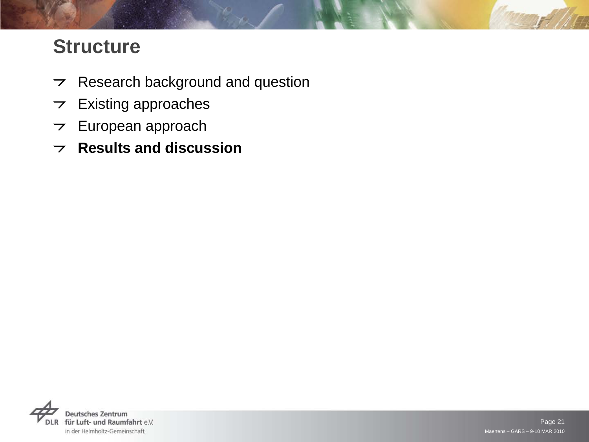# **Structure**

- $\triangleright$  Research background and question
- $\triangleright$  Existing approaches
- $\triangleright$  European approach
- **Results and discussion**

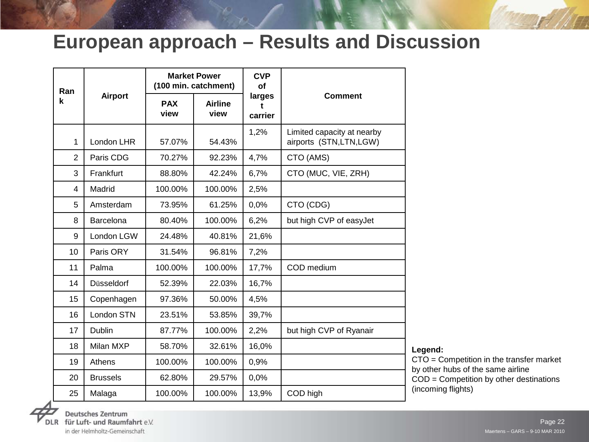## **European approach – Results and Discussion**

| Ran            |                   |                    | <b>Market Power</b><br>(100 min. catchment) | <b>CVP</b><br><b>of</b> | <b>Comment</b>                                       |  |
|----------------|-------------------|--------------------|---------------------------------------------|-------------------------|------------------------------------------------------|--|
| k              | <b>Airport</b>    | <b>PAX</b><br>view | <b>Airline</b><br>view                      | larges<br>÷<br>carrier  |                                                      |  |
| $\mathbf{1}$   | London LHR        | 57.07%             | 54.43%                                      | 1,2%                    | Limited capacity at nearby<br>airports (STN,LTN,LGW) |  |
| $\overline{2}$ | Paris CDG         | 70.27%             | 92.23%                                      | 4,7%                    | CTO (AMS)                                            |  |
| 3              | Frankfurt         | 88.80%             | 42.24%                                      | 6,7%                    | CTO (MUC, VIE, ZRH)                                  |  |
| 4              | Madrid            | 100.00%            | 100.00%                                     | 2,5%                    |                                                      |  |
| 5              | Amsterdam         | 73.95%             | 61.25%                                      | 0,0%                    | CTO (CDG)                                            |  |
| 8              | Barcelona         | 80.40%             | 100.00%                                     | 6,2%                    | but high CVP of easyJet                              |  |
| 9              | London LGW        | 24.48%             | 40.81%                                      | 21,6%                   |                                                      |  |
| 10             | Paris ORY         | 31.54%             | 96.81%                                      | 7,2%                    |                                                      |  |
| 11             | Palma             | 100.00%            | 100.00%                                     | 17,7%                   | COD medium                                           |  |
| 14             | <b>Düsseldorf</b> | 52.39%             | 22.03%                                      | 16,7%                   |                                                      |  |
| 15             | Copenhagen        | 97.36%             | 50.00%                                      | 4,5%                    |                                                      |  |
| 16             | <b>London STN</b> | 23.51%             | 53.85%                                      | 39,7%                   |                                                      |  |
| 17             | Dublin            | 87.77%             | 100.00%                                     | 2,2%                    | but high CVP of Ryanair                              |  |
| 18             | Milan MXP         | 58.70%             | 32.61%                                      | 16,0%                   |                                                      |  |
| 19             | Athens            | 100.00%            | 100.00%                                     | 0,9%                    |                                                      |  |
| 20             | <b>Brussels</b>   | 62.80%             | 29.57%                                      | 0,0%                    |                                                      |  |
| 25             | Malaga            | 100.00%            | 100.00%                                     | 13,9%                   | COD high                                             |  |

**Legend:**

CTO = Competition in the transfer market by other hubs of the same airline COD = Competition by other destinations (incoming flights)



**Deutsches Zentrum** für Luft- und Raumfahrt e.V. in der Helmholtz-Gemeinschaft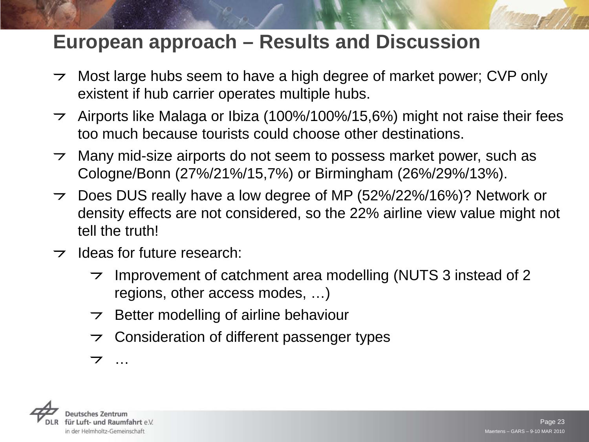## **European approach – Results and Discussion**

- $\rightarrow$  Most large hubs seem to have a high degree of market power; CVP only existent if hub carrier operates multiple hubs.
- Airports like Malaga or Ibiza (100%/100%/15,6%) might not raise their fees  $\overline{z}$ too much because tourists could choose other destinations.
- Many mid-size airports do not seem to possess market power, such as  $\overline{z}$ Cologne/Bonn (27%/21%/15,7%) or Birmingham (26%/29%/13%).
- Does DUS really have a low degree of MP (52%/22%/16%)? Network or  $\overline{z}$ density effects are not considered, so the 22% airline view value might not tell the truth!
- $\rightarrow$  Ideas for future research:
	- Improvement of catchment area modelling (NUTS 3 instead of 2  $\overline{z}$ regions, other access modes, …)
	- Better modelling of airline behaviour  $\overline{z}$
	- Consideration of different passenger types  $\overline{z}$
	- $\overline{\phantom{a}}$ …